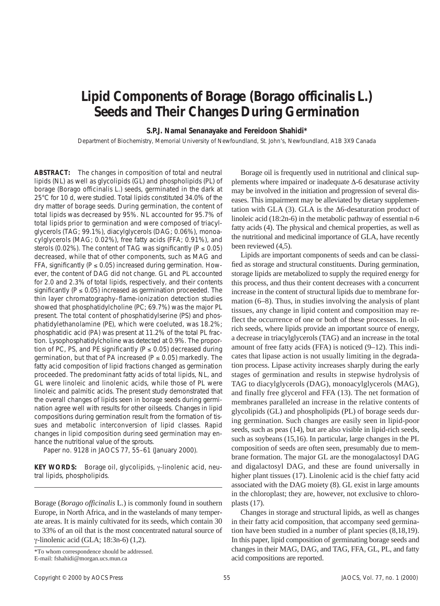# **Lipid Components of Borage (***Borago officinalis* **L.) Seeds and Their Changes During Germination**

## **S.P.J. Namal Senanayake and Fereidoon Shahidi\***

Department of Biochemistry, Memorial University of Newfoundland, St. John's, Newfoundland, A1B 3X9 Canada

**ABSTRACT:** The changes in composition of total and neutral lipids (NL) as well as glycolipids (GL) and phospholipids (PL) of borage (*Borago officinalis* L.) seeds, germinated in the dark at 25°C for 10 d, were studied. Total lipids constituted 34.0% of the dry matter of borage seeds. During germination, the content of total lipids was decreased by 95%. NL accounted for 95.7% of total lipids prior to germination and were composed of triacylglycerols (TAG; 99.1%), diacylglycerols (DAG; 0.06%), monoacylglycerols (MAG; 0.02%), free fatty acids (FFA; 0.91%), and sterols (0.02%). The content of TAG was significantly (*P* ≤ 0.05) decreased, while that of other components, such as MAG and FFA, significantly ( $P \le 0.05$ ) increased during germination. However, the content of DAG did not change. GL and PL accounted for 2.0 and 2.3% of total lipids, respectively, and their contents significantly ( $P \le 0.05$ ) increased as germination proceeded. The thin layer chromatography–flame-ionization detection studies showed that phosphatidylcholine (PC; 69.7%) was the major PL present. The total content of phosphatidylserine (PS) and phosphatidylethanolamine (PE), which were coeluted, was 18.2%; phosphatidic acid (PA) was present at 11.2% of the total PL fraction. Lysophosphatidylcholine was detected at 0.9%. The proportion of PC, PS, and PE significantly (*P* ≤ 0.05) decreased during germination, but that of PA increased (*P* ≤ 0.05) markedly. The fatty acid composition of lipid fractions changed as germination proceeded. The predominant fatty acids of total lipids, NL, and GL were linoleic and linolenic acids, while those of PL were linoleic and palmitic acids. The present study demonstrated that the overall changes of lipids seen in borage seeds during germination agree well with results for other oilseeds. Changes in lipid compositions during germination result from the formation of tissues and metabolic interconversion of lipid classes. Rapid changes in lipid composition during seed germination may enhance the nutritional value of the sprouts.

Paper no. 9128 in *JAOCS 77*, 55–61 (January 2000).

**KEY WORDS:** Borage oil, glycolipids, γ-linolenic acid, neutral lipids, phospholipids.

Borage (*Borago officinalis* L.) is commonly found in southern Europe, in North Africa, and in the wastelands of many temperate areas. It is mainly cultivated for its seeds, which contain 30 to 33% of an oil that is the most concentrated natural source of γ-linolenic acid (GLA; 18:3n-6) (1,2).

Borage oil is frequently used in nutritional and clinical supplements where impaired or inadequate ∆-6 desaturase activity may be involved in the initiation and progression of several diseases. This impairment may be alleviated by dietary supplementation with GLA (3). GLA is the ∆6-desaturation product of linoleic acid (18:2n-6) in the metabolic pathway of essential n-6 fatty acids (4). The physical and chemical properties, as well as the nutritional and medicinal importance of GLA, have recently been reviewed (4,5).

Lipids are important components of seeds and can be classified as storage and structural constituents. During germination, storage lipids are metabolized to supply the required energy for this process, and thus their content decreases with a concurrent increase in the content of structural lipids due to membrane formation (6–8). Thus, in studies involving the analysis of plant tissues, any change in lipid content and composition may reflect the occurrence of one or both of these processes. In oilrich seeds, where lipids provide an important source of energy, a decrease in triacylglycerols (TAG) and an increase in the total amount of free fatty acids (FFA) is noticed (9–12). This indicates that lipase action is not usually limiting in the degradation process. Lipase activity increases sharply during the early stages of germination and results in stepwise hydrolysis of TAG to diacylglycerols (DAG), monoacylglycerols (MAG), and finally free glycerol and FFA (13). The net formation of membranes paralleled an increase in the relative contents of glycolipids (GL) and phospholipids (PL) of borage seeds during germination. Such changes are easily seen in lipid-poor seeds, such as peas (14), but are also visible in lipid-rich seeds, such as soybeans (15,16). In particular, large changes in the PL composition of seeds are often seen, presumably due to membrane formation. The major GL are the monogalactosyl DAG and digalactosyl DAG, and these are found universally in higher plant tissues (17). Linolenic acid is the chief fatty acid associated with the DAG moiety (8). GL exist in large amounts in the chloroplast; they are, however, not exclusive to chloroplasts (17).

Changes in storage and structural lipids, as well as changes in their fatty acid composition, that accompany seed germination have been studied in a number of plant species (8,18,19). In this paper, lipid composition of germinating borage seeds and changes in their MAG, DAG, and TAG, FFA, GL, PL, and fatty acid compositions are reported.

<sup>\*</sup>To whom correspondence should be addressed.

E-mail: fshahidi@morgan.ucs.mun.ca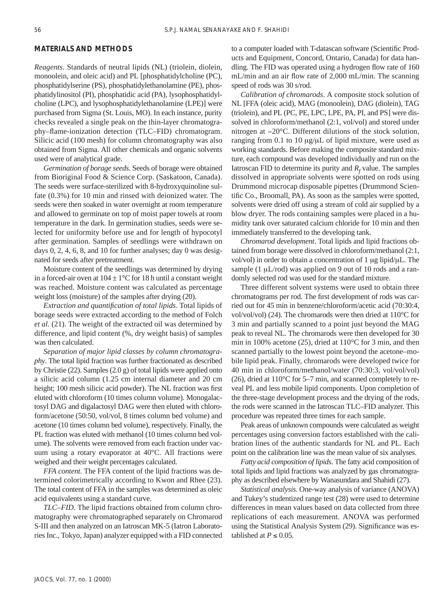### **MATERIALS AND METHODS**

*Reagents*. Standards of neutral lipids (NL) (triolein, diolein, monoolein, and oleic acid) and PL [phosphatidylcholine (PC), phosphatidylserine (PS), phosphatidylethanolamine (PE), phosphatidylinositol (PI), phosphatidic acid (PA), lysophosphatidylcholine (LPC), and lysophosphatidylethanolamine (LPE)] were purchased from Sigma (St. Louis, MO). In each instance, purity checks revealed a single peak on the thin-layer chromatography–flame-ionization detection (TLC–FID) chromatogram. Silicic acid (100 mesh) for column chromatography was also obtained from Sigma. All other chemicals and organic solvents used were of analytical grade.

*Germination of borage seeds*. Seeds of borage were obtained from Bioriginal Food & Science Corp. (Saskatoon, Canada). The seeds were surface-sterilized with 8-hydroxyquinoline sulfate (0.3%) for 10 min and rinsed with deionized water. The seeds were then soaked in water overnight at room temperature and allowed to germinate on top of moist paper towels at room temperature in the dark. In germination studies, seeds were selected for uniformity before use and for length of hypocotyl after germination. Samples of seedlings were withdrawn on days 0, 2, 4, 6, 8, and 10 for further analyses; day 0 was designated for seeds after pretreatment.

Moisture content of the seedlings was determined by drying in a forced-air oven at  $104 \pm 1$ °C for 18 h until a constant weight was reached. Moisture content was calculated as percentage weight loss (moisture) of the samples after drying (20).

*Extraction and quantification of total lipids*. Total lipids of borage seeds were extracted according to the method of Folch *et al.* (21). The weight of the extracted oil was determined by difference, and lipid content (%, dry weight basis) of samples was then calculated.

*Separation of major lipid classes by column chromatography*. The total lipid fraction was further fractionated as described by Christie (22). Samples (2.0 g) of total lipids were applied onto a silicic acid column (1.25 cm internal diameter and 20 cm height; 100 mesh silicic acid powder). The NL fraction was first eluted with chloroform (10 times column volume). Monogalactosyl DAG and digalactosyl DAG were then eluted with chloroform/acetone (50:50, vol/vol, 8 times column bed volume) and acetone (10 times column bed volume), respectively. Finally, the PL fraction was eluted with methanol (10 times column bed volume). The solvents were removed from each fraction under vacuum using a rotary evaporator at 40°C. All fractions were weighed and their weight percentages calculated.

*FFA content*. The FFA content of the lipid fractions was determined colorimetrically according to Kwon and Rhee (23). The total content of FFA in the samples was determined as oleic acid equivalents using a standard curve.

*TLC–FID.* The lipid fractions obtained from column chromatography were chromatographed separately on Chromarod S-III and then analyzed on an Iatroscan MK-5 (Iatron Laboratories Inc., Tokyo, Japan) analyzer equipped with a FID connected to a computer loaded with T-datascan software (Scientific Products and Equipment, Concord, Ontario, Canada) for data handling. The FID was operated using a hydrogen flow rate of 160 mL/min and an air flow rate of 2,000 mL/min. The scanning speed of rods was 30 s/rod.

*Calibration of chromarods*. A composite stock solution of NL [FFA (oleic acid), MAG (monoolein), DAG (diolein), TAG (triolein), and PL (PC, PE, LPC, LPE, PA, PI, and PS] were dissolved in chloroform/methanol (2:1, vol/vol) and stored under nitrogen at −20°C. Different dilutions of the stock solution, ranging from 0.1 to 10  $\mu$ g/ $\mu$ L of lipid mixture, were used as working standards. Before making the composite standard mixture, each compound was developed individually and run on the Iatroscan FID to determine its purity and  $R_f$  value. The samples dissolved in appropriate solvents were spotted on rods using Drummond microcap disposable pipettes (Drummond Scientific Co., Broomall, PA). As soon as the samples were spotted, solvents were dried off using a stream of cold air supplied by a blow dryer. The rods containing samples were placed in a humidity tank over saturated calcium chloride for 10 min and then immediately transferred to the developing tank.

*Chromarod development*. Total lipids and lipid fractions obtained from borage were dissolved in chloroform/methanol (2:1, vol/vol) in order to obtain a concentration of 1 µg lipid/µL. The sample (1  $\mu$ L/rod) was applied on 9 out of 10 rods and a randomly selected rod was used for the standard mixture.

Three different solvent systems were used to obtain three chromatograms per rod. The first development of rods was carried out for 45 min in benzene/chloroform/acetic acid (70:30:4, vol/vol/vol) (24). The chromarods were then dried at 110°C for 3 min and partially scanned to a point just beyond the MAG peak to reveal NL. The chromarods were then developed for 30 min in 100% acetone (25), dried at 110°C for 3 min, and then scanned partially to the lowest point beyond the acetone–mobile lipid peak. Finally, chromarods were developed twice for 40 min in chloroform/methanol/water (70:30:3, vol/vol/vol) (26), dried at 110°C for 5–7 min, and scanned completely to reveal PL and less mobile lipid components. Upon completion of the three-stage development process and the drying of the rods, the rods were scanned in the Iatroscan TLC–FID analyzer. This procedure was repeated three times for each sample.

Peak areas of unknown compounds were calculated as weight percentages using conversion factors established with the calibration lines of the authentic standards for NL and PL. Each point on the calibration line was the mean value of six analyses.

*Fatty acid composition of lipids*. The fatty acid composition of total lipids and lipid fractions was analyzed by gas chromatography as described elsewhere by Wanasundara and Shahidi (27).

*Statistical analysis*. One-way analysis of variance (ANOVA) and Tukey's studentized range test (28) were used to determine differences in mean values based on data collected from three replications of each measurement. ANOVA was performed using the Statistical Analysis System (29). Significance was established at  $P \leq 0.05$ .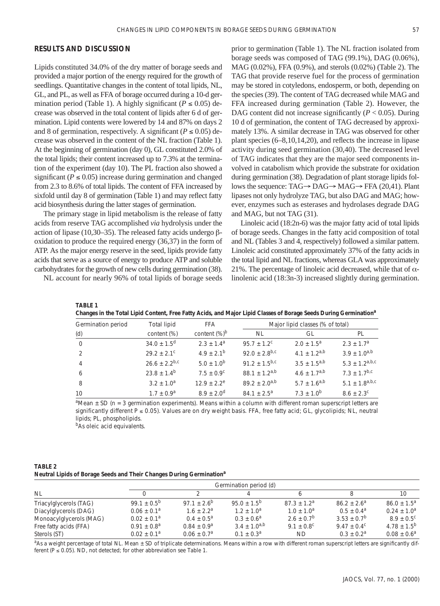#### **RESULTS AND DISCUSSION**

Lipids constituted 34.0% of the dry matter of borage seeds and provided a major portion of the energy required for the growth of seedlings. Quantitative changes in the content of total lipids, NL, GL, and PL, as well as FFA of borage occurred during a 10-d germination period (Table 1). A highly significant ( $P \le 0.05$ ) decrease was observed in the total content of lipids after 6 d of germination. Lipid contents were lowered by 14 and 87% on days 2 and 8 of germination, respectively. A significant ( $P \le 0.05$ ) decrease was observed in the content of the NL fraction (Table 1). At the beginning of germination (day 0), GL constituted 2.0% of the total lipids; their content increased up to 7.3% at the termination of the experiment (day 10). The PL fraction also showed a significant ( $P \le 0.05$ ) increase during germination and changed from 2.3 to 8.6% of total lipids. The content of FFA increased by sixfold until day 8 of germination (Table 1) and may reflect fatty acid biosynthesis during the latter stages of germination.

The primary stage in lipid metabolism is the release of fatty acids from reserve TAG accomplished *via* hydrolysis under the action of lipase (10,30–35). The released fatty acids undergo βoxidation to produce the required energy (36,37) in the form of ATP. As the major energy reserve in the seed, lipids provide fatty acids that serve as a source of energy to produce ATP and soluble carbohydrates for the growth of new cells during germination (38).

NL account for nearly 96% of total lipids of borage seeds

prior to germination (Table 1). The NL fraction isolated from borage seeds was composed of TAG (99.1%), DAG (0.06%), MAG (0.02%), FFA (0.9%), and sterols (0.02%) (Table 2). The TAG that provide reserve fuel for the process of germination may be stored in cotyledons, endosperm, or both, depending on the species (39). The content of TAG decreased while MAG and FFA increased during germination (Table 2). However, the DAG content did not increase significantly  $(P < 0.05)$ . During 10 d of germination, the content of TAG decreased by approximately 13%. A similar decrease in TAG was observed for other plant species (6–8,10,14,20), and reflects the increase in lipase activity during seed germination (30,40). The decreased level of TAG indicates that they are the major seed components involved in catabolism which provide the substrate for oxidation during germination (38). Degradation of plant storage lipids follows the sequence: TAG→ DAG→ MAG→ FFA (20,41). Plant lipases not only hydrolyze TAG, but also DAG and MAG; however, enzymes such as esterases and hydrolases degrade DAG and MAG, but not TAG (31).

Linoleic acid (18:2n-6) was the major fatty acid of total lipids of borage seeds. Changes in the fatty acid composition of total and NL (Tables 3 and 4, respectively) followed a similar pattern. Linoleic acid constituted approximately 37% of the fatty acids in the total lipid and NL fractions, whereas GLA was approximately 21%. The percentage of linoleic acid decreased, while that of  $\alpha$ linolenic acid (18:3n-3) increased slightly during germination.

| Germination period | <b>Total lipid</b>        | <b>FFA</b>            |                             | Major lipid classes (% of total) |                       |
|--------------------|---------------------------|-----------------------|-----------------------------|----------------------------------|-----------------------|
| (d)                | content (%)               | content $(\%)^b$      | <b>NL</b>                   | GL                               | PL                    |
| $\Omega$           | $34.0 \pm 1.5^d$          | $2.3 \pm 1.4^{\circ}$ | $95.7 + 1.2^c$              | $2.0 + 1.5^a$                    | $2.3 \pm 1.7^a$       |
| $\overline{2}$     | $29.2 + 2.1$ <sup>c</sup> | $4.9 + 2.1^{b}$       | $92.0 + 2.8$ <sup>b,c</sup> | $4.1 + 1.2^{a,b}$                | $3.9 + 1.0^{a,b}$     |
| $\overline{4}$     | $26.6 \pm 2.2^{b,c}$      | $5.0 + 1.0^{b}$       | $91.2 + 1.5^{b,c}$          | $3.5 + 1.5^{a,b}$                | $5.3 \pm 1.2^{a,b,c}$ |
| - 6                | $23.8 \pm 1.4^b$          | $7.5 + 0.9^{\circ}$   | $88.1 + 1.2$ <sup>a,b</sup> | $4.6 + 1.7^{a,b}$                | $7.3 + 1.7^{b,c}$     |
| -8                 | $3.2 \pm 1.0^a$           | $12.9 + 2.2^e$        | $89.2 + 2.0^{a,b}$          | $5.7 + 1.6^{a,b}$                | $5.1 \pm 1.8^{a,b,c}$ |
| 10 <sup>1</sup>    | $1.7 + 0.9a$              | $8.9 + 2.0^d$         | $84.1 \pm 2.5^{\circ}$      | $7.3 + 1.0^{b}$                  | $8.6 + 2.3^c$         |
|                    |                           |                       |                             |                                  |                       |

**Changes in the Total Lipid Content, Free Fatty Acids, and Major Lipid Classes of Borage Seeds During Germination***<sup>a</sup>*

*a* Mean ± SD (*n* = 3 germination experiments). Means within a column with different roman superscript letters are significantly different *P* ≤ 0.05). Values are on dry weight basis. FFA, free fatty acid; GL, glycolipids; NL, neutral lipids; PL, phospholipids.

*<sup>b</sup>*As oleic acid equivalents.

**TABLE 1**

| TABLE 2                                                                          |  |  |  |
|----------------------------------------------------------------------------------|--|--|--|
| Neutral Lipids of Borage Seeds and Their Changes During Germination <sup>a</sup> |  |  |  |

|                         |                        |                       | Germination period (d) |                     |                      |                     |
|-------------------------|------------------------|-----------------------|------------------------|---------------------|----------------------|---------------------|
| NL                      |                        |                       |                        |                     |                      | 10                  |
| Triacylglycerols (TAG)  | $99.1 + 0.5^{b}$       | $97.1 + 2.6^{b}$      | $95.0 + 1.5^{b}$       | $87.3 + 1.2a$       | $86.2 \pm 2.6^a$     | $86.0 + 1.5^a$      |
| Diacylglycerols (DAG)   | $0.06 \pm 0.1^a$       | $1.6 \pm 2.2^{\circ}$ | $1.2 + 1.0^a$          | $1.0 + 1.0^a$       | $0.5 + 0.4^a$        | $0.24 + 1.0a$       |
| Monoacylglycerols (MAG) | $0.02 + 0.1a$          | $0.4 + 0.5^a$         | $0.3 + 0.6^a$          | $2.6 + 0.7^b$       | $3.53 + 0.7^b$       | $8.9 + 0.5^{\circ}$ |
| Free fatty acids (FFA)  | $0.91 \pm 0.8^{\circ}$ | $0.84 + 0.9a$         | $3.4 + 1.0^{a,b}$      | $9.1 + 0.8^{\circ}$ | $9.47 + 0.4^{\circ}$ | $4.78 + 1.5^{b}$    |
| Sterols (ST)            | $0.02 + 0.1a$          | $0.06 + 0.7a$         | $0.1 + 0.3a$           | <b>ND</b>           | $0.3 + 0.2^a$        | $0.08 + 0.6^a$      |

<sup>a</sup>As a weight percentage of total NL. Mean ± SD of triplicate determinations. Means within a row with different roman superscript letters are significantly different (*P* ≤ 0.05). ND, not detected; for other abbreviation see Table 1.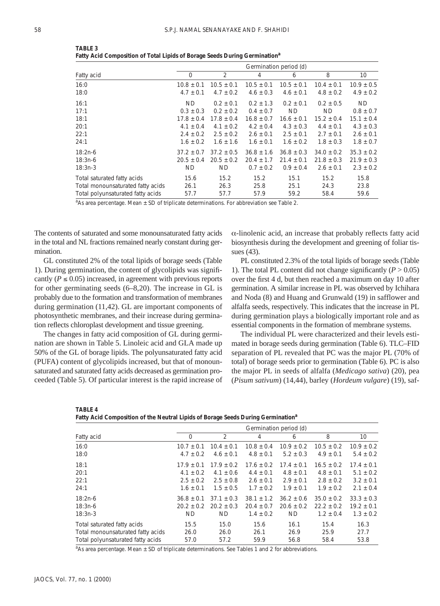|                                   |                | Germination period (d) |                |                |                |                |  |  |  |
|-----------------------------------|----------------|------------------------|----------------|----------------|----------------|----------------|--|--|--|
| Fatty acid                        | $\mathbf 0$    | 2                      | 4              | 6              | 8              | 10             |  |  |  |
| 16:0                              | $10.8 \pm 0.1$ | $10.5 \pm 0.1$         | $10.5 \pm 0.1$ | $10.5 \pm 0.1$ | $10.4 \pm 0.1$ | $10.9 \pm 0.5$ |  |  |  |
| 18:0                              | $4.7 \pm 0.1$  | $4.7 \pm 0.2$          | $4.6 \pm 0.3$  | $4.6 \pm 0.1$  | $4.8 \pm 0.2$  | $4.9 \pm 0.2$  |  |  |  |
| 16:1                              | ND.            | $0.2 \pm 0.1$          | $0.2 \pm 1.3$  | $0.2 \pm 0.1$  | $0.2 \pm 0.5$  | ND.            |  |  |  |
| 17:1                              | $0.3 \pm 0.3$  | $0.2 + 0.2$            | $0.4 \pm 0.7$  | ND.            | ND.            | $0.8 \pm 0.7$  |  |  |  |
| 18:1                              | $17.8 \pm 0.4$ | $17.8 \pm 0.4$         | $16.8 \pm 0.7$ | $16.6 \pm 0.1$ | $15.2 \pm 0.4$ | $15.1 \pm 0.4$ |  |  |  |
| 20:1                              | $4.1 \pm 0.4$  | $4.1 \pm 0.2$          | $4.2 \pm 0.4$  | $4.3 \pm 0.3$  | $4.4 \pm 0.1$  | $4.3 \pm 0.3$  |  |  |  |
| 22:1                              | $2.4 \pm 0.2$  | $2.5 \pm 0.2$          | $2.6 \pm 0.1$  | $2.5 \pm 0.1$  | $2.7 \pm 0.1$  | $2.6 \pm 0.1$  |  |  |  |
| 24:1                              | $1.6 \pm 0.2$  | $1.6 \pm 1.6$          | $1.6 \pm 0.1$  | $1.6 \pm 0.2$  | $1.8 \pm 0.3$  | $1.8 \pm 0.7$  |  |  |  |
| 18:2n-6                           | $37.2 \pm 0.7$ | $37.2 \pm 0.5$         | $36.8 \pm 1.6$ | $36.8 \pm 0.3$ | $34.0 \pm 0.2$ | $35.3 \pm 0.2$ |  |  |  |
| 18:3n-6                           | $20.5 \pm 0.4$ | $20.5 \pm 0.2$         | $20.4 \pm 1.7$ | $21.4 \pm 0.1$ | $21.8 \pm 0.3$ | $21.9 \pm 0.3$ |  |  |  |
| $18:3n-3$                         | ND.            | ND.                    | $0.7 \pm 0.2$  | $0.9 \pm 0.4$  | $2.6 \pm 0.1$  | $2.3 \pm 0.2$  |  |  |  |
| Total saturated fatty acids       | 15.6           | 15.2                   | 15.2           | 15.1           | 15.2           | 15.8           |  |  |  |
| Total monounsaturated fatty acids | 26.1           | 26.3                   | 25.8           | 25.1           | 24.3           | 23.8           |  |  |  |
| Total polyunsaturated fatty acids | 57.7           | 57.7                   | 57.9           | 59.2           | 58.4           | 59.6           |  |  |  |

**TABLE 3 Fatty Acid Composition of Total Lipids of Borage Seeds During Germination***<sup>a</sup>*

<sup>a</sup>As area percentage. Mean ± SD of triplicate determinations. For abbreviation see Table 2.

The contents of saturated and some monounsaturated fatty acids in the total and NL fractions remained nearly constant during germination.

GL constituted 2% of the total lipids of borage seeds (Table 1). During germination, the content of glycolipids was significantly ( $P \le 0.05$ ) increased, in agreement with previous reports for other germinating seeds (6–8,20). The increase in GL is probably due to the formation and transformation of membranes during germination (11,42). GL are important components of photosynthetic membranes, and their increase during germination reflects chloroplast development and tissue greening.

The changes in fatty acid composition of GL during germination are shown in Table 5. Linoleic acid and GLA made up 50% of the GL of borage lipids. The polyunsaturated fatty acid (PUFA) content of glycolipids increased, but that of monounsaturated and saturated fatty acids decreased as germination proceeded (Table 5). Of particular interest is the rapid increase of α-linolenic acid, an increase that probably reflects fatty acid biosynthesis during the development and greening of foliar tissues (43).

PL constituted 2.3% of the total lipids of borage seeds (Table 1). The total PL content did not change significantly  $(P > 0.05)$ over the first 4 d, but then reached a maximum on day 10 after germination. A similar increase in PL was observed by Ichihara and Noda (8) and Huang and Grunwald (19) in safflower and alfalfa seeds, respectively. This indicates that the increase in PL during germination plays a biologically important role and as essential components in the formation of membrane systems.

The individual PL were characterized and their levels estimated in borage seeds during germination (Table 6). TLC–FID separation of PL revealed that PC was the major PL (70% of total) of borage seeds prior to germination (Table 6). PC is also the major PL in seeds of alfalfa (*Medicago sativa*) (20), pea (*Pisum sativum*) (14,44), barley (*Hordeum vulgare*) (19), saf-

| <b>TABLE 4</b>                                                                               |  |  |  |
|----------------------------------------------------------------------------------------------|--|--|--|
| Fatty Acid Composition of the Neutral Lipids of Borage Seeds During Germination <sup>a</sup> |  |  |  |

|                                   |                | Germination period (d) |                |                |                |                 |  |  |
|-----------------------------------|----------------|------------------------|----------------|----------------|----------------|-----------------|--|--|
| Fatty acid                        | 0              | 2                      | 4              | 6              | 8              | 10 <sup>°</sup> |  |  |
| 16:0                              | $10.7 \pm 0.1$ | $10.4 \pm 0.1$         | $10.8 \pm 0.4$ | $10.9 \pm 0.2$ | $10.5 \pm 0.2$ | $10.9 \pm 0.2$  |  |  |
| 18:0                              | $4.7 \pm 0.2$  | $4.6 \pm 0.1$          | $4.8 \pm 0.1$  | $5.2 \pm 0.3$  | $4.9 \pm 0.1$  | $5.4 \pm 0.2$   |  |  |
| 18:1                              | $17.9 \pm 0.1$ | $17.9 \pm 0.2$         | $17.6 + 0.2$   | $17.4 + 0.1$   | $16.5 + 0.2$   | $17.4 \pm 0.1$  |  |  |
| 20:1                              | $4.1 + 0.2$    | $4.1 + 0.6$            | $4.4 \pm 0.1$  | $4.8 \pm 0.1$  | $4.8 \pm 0.1$  | $5.1 \pm 0.2$   |  |  |
| 22:1                              | $2.5 \pm 0.2$  | $2.5 \pm 0.8$          | $2.6 \pm 0.1$  | $2.9 \pm 0.1$  | $2.8 \pm 0.2$  | $3.2 \pm 0.1$   |  |  |
| 24:1                              | $1.6 \pm 0.1$  | $1.5 + 0.5$            | $1.7 \pm 0.2$  | $1.9 + 0.1$    | $1.9 + 0.2$    | $2.1 \pm 0.4$   |  |  |
| $18:2n-6$                         | $36.8 + 0.1$   | $37.1 + 0.3$           | $38.1 + 1.2$   | $36.2 + 0.6$   | $35.0 + 0.2$   | $33.3 \pm 0.3$  |  |  |
| $18:3n-6$                         | $20.2 \pm 0.2$ | $20.2 + 0.3$           | $20.4 \pm 0.7$ | $20.6 \pm 0.2$ | $22.2 + 0.2$   | $19.2 \pm 0.1$  |  |  |
| $18:3n-3$                         | <b>ND</b>      | <b>ND</b>              | $1.4 \pm 0.2$  | <b>ND</b>      | $1.2 \pm 0.4$  | $1.3 \pm 0.2$   |  |  |
| Total saturated fatty acids       | 15.5           | 15.0                   | 15.6           | 16.1           | 15.4           | 16.3            |  |  |
| Total monounsaturated fatty acids | 26.0           | 26.0                   | 26.1           | 26.9           | 25.9           | 27.7            |  |  |
| Total polyunsaturated fatty acids | 57.0           | 57.2                   | 59.9           | 56.8           | 58.4           | 53.8            |  |  |

<sup>a</sup>As area percentage. Mean ± SD of triplicate determinations. See Tables 1 and 2 for abbreviations.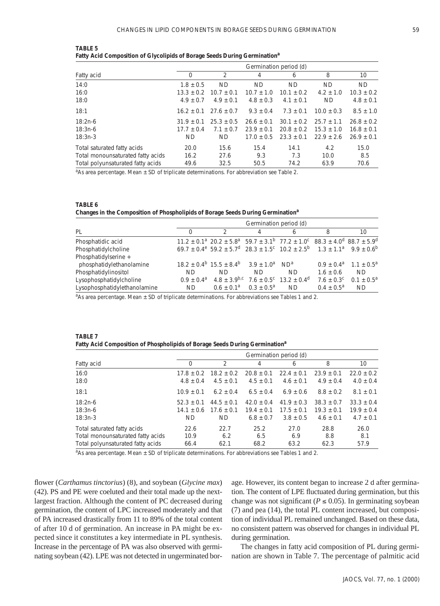| TABLE 5                                                                               |  |  |  |
|---------------------------------------------------------------------------------------|--|--|--|
| Fatty Acid Composition of Glycolipids of Borage Seeds During Germination <sup>a</sup> |  |  |  |

|                                   | Germination period (d) |              |                |              |               |                |
|-----------------------------------|------------------------|--------------|----------------|--------------|---------------|----------------|
| Fatty acid                        | $\Omega$               | C            | 4              | 6            | 8             | 10             |
| 14:0                              | $1.8 + 0.5$            | <b>ND</b>    | <b>ND</b>      | <b>ND</b>    | <b>ND</b>     | <b>ND</b>      |
| 16:0                              | $13.3 + 0.2$           | $10.7 + 0.1$ | $10.7 \pm 1.0$ | $10.1 + 0.2$ | $4.2 \pm 1.0$ | $10.3 \pm 0.2$ |
| 18:0                              | $4.9 + 0.7$            | $4.9 + 0.1$  | $4.8 + 0.3$    | $4.1 + 0.1$  | <b>ND</b>     | $4.8 \pm 0.1$  |
| 18:1                              | $16.2 + 0.1$           | $27.6 + 0.7$ | $9.3 + 0.4$    | $7.3 + 0.1$  | $10.0 + 0.3$  | $8.5 \pm 1.0$  |
| $18:2n-6$                         | $31.9 + 0.1$           | $25.3 + 0.5$ | $26.6 + 0.1$   | $30.1 + 0.2$ | $25.7 + 1.1$  | $26.8 + 0.2$   |
| $18:3n-6$                         | $17.7 + 0.4$           | $7.1 + 0.7$  | $23.9 + 0.1$   | $20.8 + 0.2$ | $15.3 + 1.0$  | $16.8 + 0.1$   |
| $18:3n-3$                         | <b>ND</b>              | <b>ND</b>    | $17.0 + 0.5$   | $23.3 + 0.1$ | $22.9 + 2.6$  | $26.9 + 0.1$   |
| Total saturated fatty acids       | 20.0                   | 15.6         | 15.4           | 14.1         | 4.2           | 15.0           |
| Total monounsaturated fatty acids | 16.2                   | 27.6         | 9.3            | 7.3          | 10.0          | 8.5            |
| Total polyunsaturated fatty acids | 49.6                   | 32.5         | 50.5           | 74.2         | 63.9          | 70.6           |

<sup>a</sup>As area percentage. Mean ± SD of triplicate determinations. For abbreviation see Table 2.

| TABLE 6                                                                                     |  |
|---------------------------------------------------------------------------------------------|--|
| Changes in the Composition of Phospholipids of Borage Seeds During Germination <sup>a</sup> |  |

|                              | Germination period (d) |                                                                                                                                      |                     |                                             |               |                                      |
|------------------------------|------------------------|--------------------------------------------------------------------------------------------------------------------------------------|---------------------|---------------------------------------------|---------------|--------------------------------------|
| PL                           |                        |                                                                                                                                      |                     | 6                                           | 8             | 10                                   |
| Phosphatidic acid            |                        | $11.2 \pm 0.1^a$ 20.2 $\pm 5.8^a$ 59.7 $\pm 3.1^b$ 77.2 $\pm 1.0^c$ 88.3 $\pm 4.0^d$ 88.7 $\pm 5.9^d$                                |                     |                                             |               |                                      |
| Phosphatidylcholine          |                        | $69.7 + 0.4^e$ 59.2 + 5.7 <sup>d</sup> 28.3 + 1.5 <sup>c</sup> 10.2 + 2.5 <sup>b</sup> 1.3 + 1.1 <sup>a</sup> 9.9 + 0.6 <sup>b</sup> |                     |                                             |               |                                      |
| Phosphatidylserine +         |                        |                                                                                                                                      |                     |                                             |               |                                      |
| phosphatidylethanolamine     |                        | $18.2 \pm 0.4^{\circ}$ 15.5 $\pm$ 8.4 <sup>b</sup> 3.9 $\pm$ 1.0 <sup>a</sup> ND <sup>a</sup>                                        |                     |                                             |               | $0.9 + 0.4^a$ 1.1 + 0.5 <sup>a</sup> |
| Phosphatidylinositol         | ND.                    | ND.                                                                                                                                  | ND.                 | ND.                                         | $1.6 + 0.6$   | ND.                                  |
| Lysophosphatidylcholine      | $0.9 + 0.4^a$          | $4.8 \pm 3.9^{b,c}$                                                                                                                  |                     | $7.6 + 0.5^{\circ}$ 13.2 + 0.4 <sup>d</sup> | $7.6 + 0.3^c$ | $0.1 + 0.5^a$                        |
| Lysophosphatidylethanolamine | ND.                    | $0.6 + 0.1^a$                                                                                                                        | $0.3 + 0.5^{\circ}$ | <b>ND</b>                                   | $0.4 + 0.5^a$ | <b>ND</b>                            |

<sup>a</sup>As area percentage. Mean ± SD of triplicate determinations. For abbreviations see Tables 1 and 2.

| TABLE 7                                                                                 |  |  |
|-----------------------------------------------------------------------------------------|--|--|
| Fatty Acid Composition of Phospholipids of Borage Seeds During Germination <sup>8</sup> |  |  |

|                                   |                | Germination period (d) |                |               |                |               |  |  |
|-----------------------------------|----------------|------------------------|----------------|---------------|----------------|---------------|--|--|
| Fatty acid                        | 0              | $\mathfrak{D}$         | 4              | 6             | 8              | 10            |  |  |
| 16:0                              | $17.8 + 0.2$   | $18.2 \pm 0.2$         | $20.8 \pm 0.1$ | $22.4 + 0.1$  | $23.9 + 0.1$   | $22.0 + 0.2$  |  |  |
| 18:0                              | $4.8 + 0.4$    | $4.5 \pm 0.1$          | $4.5 \pm 0.1$  | $4.6 \pm 0.1$ | $4.9 \pm 0.4$  | $4.0 \pm 0.4$ |  |  |
| 18:1                              | $10.9 \pm 0.1$ | $6.2 \pm 0.4$          | $6.5 + 0.4$    | $6.9 \pm 0.6$ | $8.8 + 0.2$    | $8.1 + 0.1$   |  |  |
| $18:2n-6$                         | $52.3 + 0.1$   | $44.5 + 0.1$           | $42.0 + 0.4$   | $41.9 + 0.3$  | $38.3 + 0.7$   | $33.3 + 0.4$  |  |  |
| 18:3n-6                           | $14.1 + 0.6$   | $17.6 + 0.1$           | $19.4 + 0.1$   | $17.5 + 0.1$  | $19.3 \pm 0.1$ | $19.9 + 0.4$  |  |  |
| $18:3n-3$                         | ND.            | ND.                    | $6.8 + 0.7$    | $3.8 + 0.5$   | $4.6 \pm 0.1$  | $4.7 \pm 0.1$ |  |  |
| Total saturated fatty acids       | 22.6           | 22.7                   | 25.2           | 27.0          | 28.8           | 26.0          |  |  |
| Total monounsaturated fatty acids | 10.9           | 6.2                    | 6.5            | 6.9           | 8.8            | 8.1           |  |  |
| Total polyunsaturated fatty acids | 66.4           | 62.1                   | 68.2           | 63.2          | 62.3           | 57.9          |  |  |

<sup>a</sup>As area percentage. Mean ± SD of triplicate determinations. For abbreviations see Tables 1 and 2.

flower (*Carthamus tinctorius*) (8), and soybean (*Glycine max*) (42). PS and PE were coeluted and their total made up the nextlargest fraction. Although the content of PC decreased during germination, the content of LPC increased moderately and that of PA increased drastically from 11 to 89% of the total content of after 10 d of germination. An increase in PA might be expected since it constitutes a key intermediate in PL synthesis. Increase in the percentage of PA was also observed with germinating soybean (42). LPE was not detected in ungerminated bor-

age. However, its content began to increase 2 d after germination. The content of LPE fluctuated during germination, but this change was not significant ( $P \le 0.05$ ). In germinating soybean (7) and pea (14), the total PL content increased, but composition of individual PL remained unchanged. Based on these data, no consistent pattern was observed for changes in individual PL during germination.

The changes in fatty acid composition of PL during germination are shown in Table 7. The percentage of palmitic acid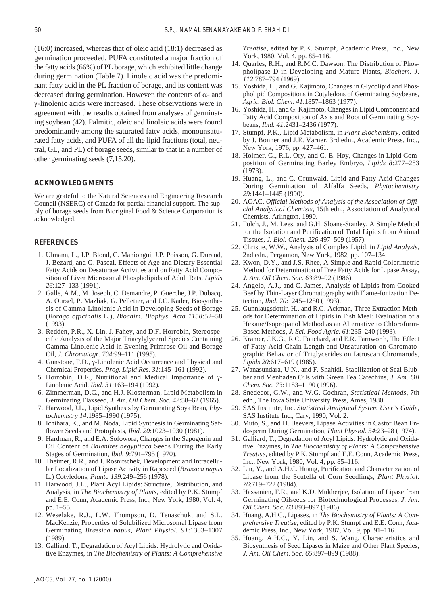(16:0) increased, whereas that of oleic acid (18:1) decreased as germination proceeded. PUFA constituted a major fraction of the fatty acids (66%) of PL borage, which exhibited little change during germination (Table 7). Linoleic acid was the predominant fatty acid in the PL fraction of borage, and its content was decreased during germination. However, the contents of  $\alpha$ - and γ-linolenic acids were increased. These observations were in agreement with the results obtained from analyses of germinating soybean (42). Palmitic, oleic and linoleic acids were found predominantly among the saturated fatty acids, monounsaturated fatty acids, and PUFA of all the lipid fractions (total, neutral, GL, and PL) of borage seeds, similar to that in a number of other germinating seeds (7,15,20).

#### **ACKNOWLEDGMENTS**

We are grateful to the Natural Sciences and Engineering Research Council (NSERC) of Canada for partial financial support. The supply of borage seeds from Bioriginal Food & Science Corporation is acknowledged.

#### **REFERENCES**

- 1. Ulmann, L., J.P. Blond, C. Maniongui, J.P. Poisson, G. Durand, J. Bezard, and G. Pascal, Effects of Age and Dietary Essential Fatty Acids on Desaturase Activities and on Fatty Acid Composition of Liver Microsomal Phospholipids of Adult Rats, *Lipids 26*:127–133 (1991).
- 2. Galle, A.M., M. Joseph, C. Demandre, P. Guerche, J.P. Dubacq, A. Oursel, P. Mazliak, G. Pelletier, and J.C. Kader, Biosynthesis of Gamma-Linolenic Acid in Developing Seeds of Borage (*Borago officinalis* L.), *Biochim. Biophys. Acta 1158*:52–58 (1993).
- 3. Redden, P.R., X. Lin, J. Fahey, and D.F. Horrobin, Stereospecific Analysis of the Major Triacylglycerol Species Containing Gamma-Linolenic Acid in Evening Primrose Oil and Borage Oil, *J. Chromatogr. 704*:99–111 (1995).
- 4. Gunstone, F.D., γ-Linolenic Acid Occurrence and Physical and Chemical Properties, *Prog. Lipid Res. 31*:145–161 (1992).
- 5. Horrobin, D.F., Nutritional and Medical Importance of γ-Linolenic Acid, *Ibid. 31*:163–194 (1992).
- 6. Zimmerman, D.C., and H.J. Klosterman, Lipid Metabolism in Germinating Flaxseed, *J. Am. Oil Chem. Soc. 42*:58–62 (1965).
- 7. Harwood, J.L., Lipid Synthesis by Germinating Soya Bean, *Phytochemistry 14*:1985–1990 (1975).
- 8. Ichihara, K., and M. Noda, Lipid Synthesis in Germinating Safflower Seeds and Protoplasts, *Ibid. 20*:1023–1030 (1981).
- 9. Hardman, R., and E.A. Sofowora, Changes in the Sapogenin and Oil Content of *Balanites aegyptiaca* Seeds During the Early Stages of Germination, *Ibid. 9*:791–795 (1970).
- 10. Theimer, R.R., and I. Rosnitschek, Development and Intracellular Localization of Lipase Activity in Rapeseed (*Brassica napus* L.) Cotyledons, *Planta 139*:249–256 (1978).
- 11. Harwood, J.L., Plant Acyl Lipids: Structure, Distribution, and Analysis, in *The Biochemistry of Plants*, edited by P.K. Stumpf and E.E. Conn, Academic Press, Inc., New York, 1980, Vol. 4, pp. 1–55.
- 12. Weselake, R.J., L.W. Thompson, D. Tenaschuk, and S.L. MacKenzie, Properties of Solubilized Microsomal Lipase from Germinating *Brassica napus, Plant Physiol. 91*:1303–1307 (1989).
- 13. Galliard, T., Degradation of Acyl Lipids: Hydrolytic and Oxidative Enzymes, in *The Biochemistry of Plants: A Comprehensive*

*Treatise*, edited by P.K. Stumpf, Academic Press, Inc., New York, 1980, Vol. 4, pp. 85–116.

- 14. Quarles, R.H., and R.M.C. Dawson, The Distribution of Phospholipase D in Developing and Mature Plants, *Biochem. J. 112*:787–794 (1969).
- 15. Yoshida, H., and G. Kajimoto, Changes in Glycolipid and Phospholipid Compositions in Cotyledons of Germinating Soybeans, *Agric. Biol. Chem. 41*:1857–1863 (1977).
- 16. Yoshida, H., and G. Kajimoto, Changes in Lipid Component and Fatty Acid Composition of Axis and Root of Germinating Soybeans, *Ibid. 41*:2431–2436 (1977).
- 17. Stumpf, P.K., Lipid Metabolism, in *Plant Biochemistry*, edited by J. Bonner and J.E. Varner, 3rd edn., Academic Press, Inc., New York, 1976, pp. 427–461.
- 18. Holmer, G., R.L. Ory, and C.-E. Høy, Changes in Lipid Composition of Germinating Barley Embryo, *Lipids 8*:277–283 (1973).
- 19. Huang, L., and C. Grunwald, Lipid and Fatty Acid Changes During Germination of Alfalfa Seeds, *Phytochemistry 29*:1441–1445 (1990).
- 20. AOAC, *Official Methods of Analysis of the Association of Official Analytical Chemists*, 15th edn., Association of Analytical Chemists, Arlington, 1990.
- 21. Folch, J., M. Lees, and G.H. Sloane-Stanley, A Simple Method for the Isolation and Purification of Total Lipids from Animal Tissues, *J. Biol. Chem. 226*:497–509 (1957).
- 22. Christie, W.W., Analysis of Complex Lipid, in *Lipid Analysis*, 2nd edn., Pergamon, New York, 1982, pp. 107–134.
- 23. Kwon, D.Y., and J.S. Rhee, A Simple and Rapid Colorimetric Method for Determination of Free Fatty Acids for Lipase Assay, *J. Am. Oil Chem. Soc. 63*:89–92 (1986).
- 24. Angelo, A.J., and C. James, Analysis of Lipids from Cooked Beef by Thin-Layer Chromatography with Flame-Ionization Detection, *Ibid. 70*:1245–1250 (1993).
- 25. Gunnlaugsdottir, H., and R.G. Ackman, Three Extraction Methods for Determination of Lipids in Fish Meal: Evaluation of a Hexane/Isopropanol Method as an Alternative to Chloroform-Based Methods, *J. Sci. Food Agric. 61*:235–240 (1993).
- 26. Kramer, J.K.G., R.C. Fouchard, and E.R. Farnworth, The Effect of Fatty Acid Chain Length and Unsaturation on Chromatographic Behavior of Triglycerides on Iatroscan Chromarods, *Lipids 20*:617–619 (1985).
- 27. Wanasundara, U.N., and F. Shahidi, Stabilization of Seal Blubber and Menhaden Oils with Green Tea Catechins, *J. Am. Oil Chem. Soc. 73*:1183–1190 (1996).
- 28. Snedecor, G.W., and W.G. Cochran, *Statistical Methods*, 7th edn., The Iowa State University Press, Ames, 1980.
- 29. SAS Institute, Inc. *Statistical Analytical System User's Guide*, SAS Institute Inc., Cary, 1990, Vol. 2.
- 30. Muto, S., and H. Beevers, Lipase Activities in Castor Bean Endosperm During Germination, *Plant Physiol. 54*:23–28 (1974).
- 31. Galliard, T., Degradation of Acyl Lipids: Hydrolytic and Oxidative Enzymes, in *The Biochemistry of Plants: A Comprehensive Treatise*, edited by P.K. Stumpf and E.E. Conn, Academic Press, Inc., New York, 1980, Vol. 4, pp. 85–116.
- 32. Lin, Y., and A.H.C. Huang, Purification and Characterization of Lipase from the Scutella of Corn Seedlings, *Plant Physiol. 76*:719–722 (1984).
- 33. Hassanien, F.R., and K.D. Mukherjee, Isolation of Lipase from Germinating Oilseeds for Biotechnological Processes, *J. Am. Oil Chem. Soc. 63*:893–897 (1986).
- 34. Huang, A.H.C., Lipases, in *The Biochemistry of Plants: A Comprehensive Treatise*, edited by P.K. Stumpf and E.E. Conn, Academic Press, Inc., New York, 1987, Vol. 9, pp. 91–116.
- 35. Huang, A.H.C., Y. Lin, and S. Wang, Characteristics and Biosynthesis of Seed Lipases in Maize and Other Plant Species, *J. Am. Oil Chem. Soc. 65*:897–899 (1988).